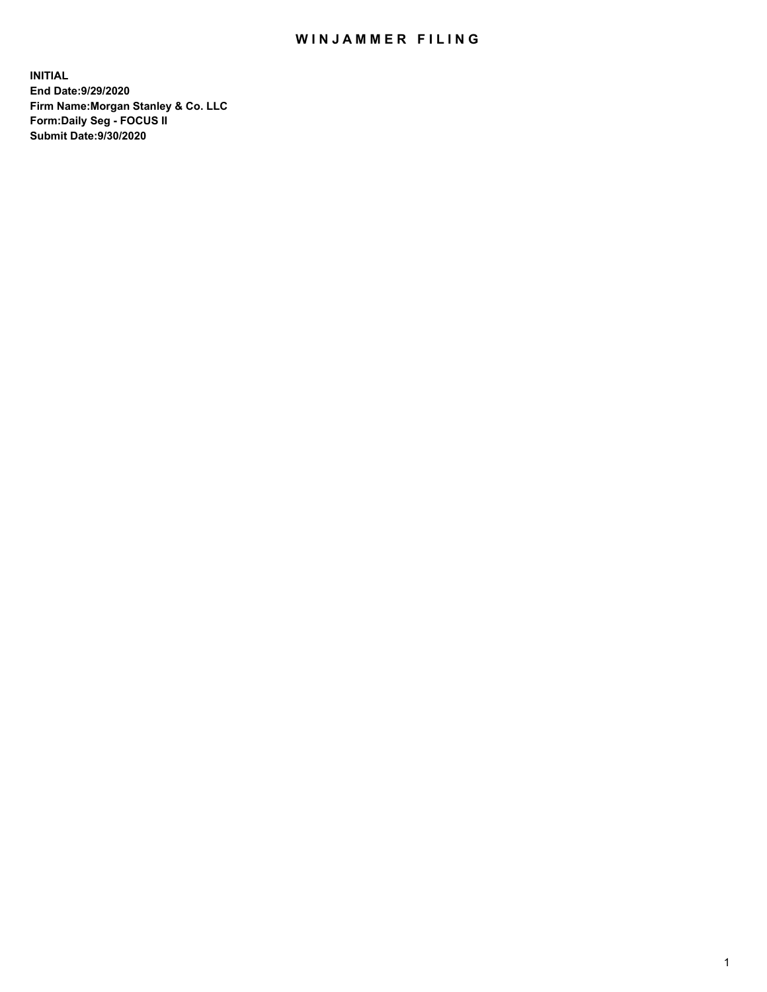## WIN JAMMER FILING

**INITIAL End Date:9/29/2020 Firm Name:Morgan Stanley & Co. LLC Form:Daily Seg - FOCUS II Submit Date:9/30/2020**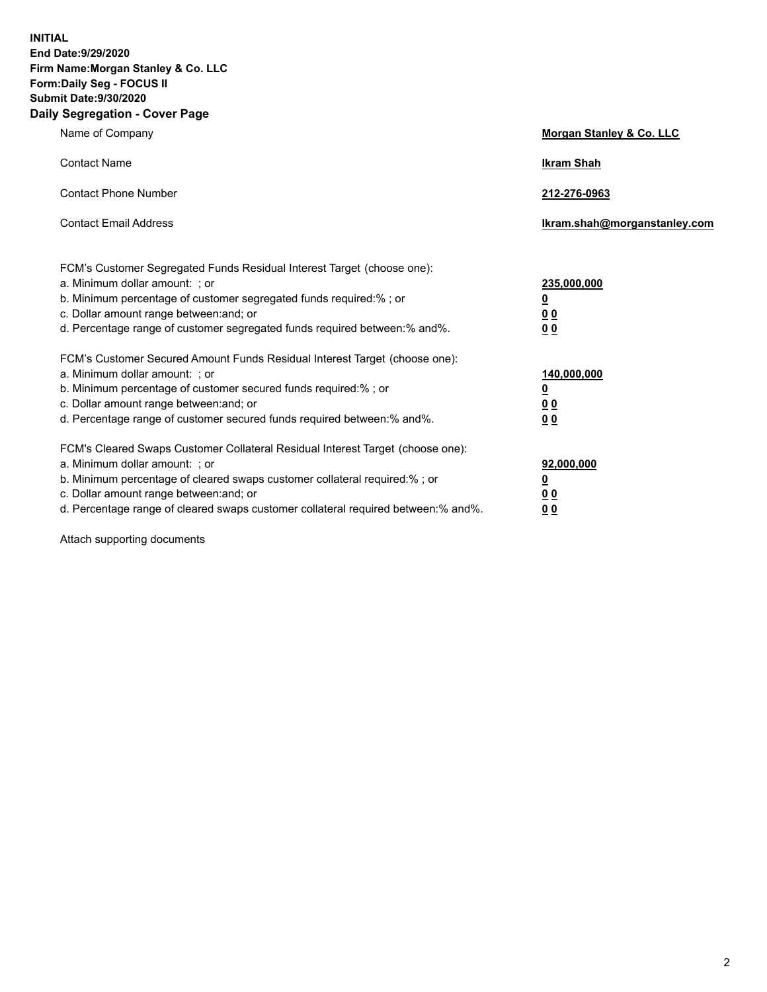**INITIAL End Date:9/29/2020 Firm Name:Morgan Stanley & Co. LLC Form:Daily Seg - FOCUS II Submit Date:9/30/2020 Daily Segregation - Cover Page**

| Name of Company                                                                                                                                                                                                                                                                                                                | Morgan Stanley & Co. LLC                                |
|--------------------------------------------------------------------------------------------------------------------------------------------------------------------------------------------------------------------------------------------------------------------------------------------------------------------------------|---------------------------------------------------------|
| <b>Contact Name</b>                                                                                                                                                                                                                                                                                                            | <b>Ikram Shah</b>                                       |
| <b>Contact Phone Number</b>                                                                                                                                                                                                                                                                                                    | 212-276-0963                                            |
| <b>Contact Email Address</b>                                                                                                                                                                                                                                                                                                   | Ikram.shah@morganstanley.com                            |
| FCM's Customer Segregated Funds Residual Interest Target (choose one):<br>a. Minimum dollar amount: ; or<br>b. Minimum percentage of customer segregated funds required:%; or<br>c. Dollar amount range between: and; or<br>d. Percentage range of customer segregated funds required between: % and %.                        | 235,000,000<br><u>0</u><br>00<br>0 Q                    |
| FCM's Customer Secured Amount Funds Residual Interest Target (choose one):<br>a. Minimum dollar amount: ; or<br>b. Minimum percentage of customer secured funds required:%; or<br>c. Dollar amount range between: and; or<br>d. Percentage range of customer secured funds required between:% and%.                            | 140,000,000<br><u>0</u><br><u>0 0</u><br>0 <sub>0</sub> |
| FCM's Cleared Swaps Customer Collateral Residual Interest Target (choose one):<br>a. Minimum dollar amount: ; or<br>b. Minimum percentage of cleared swaps customer collateral required:% ; or<br>c. Dollar amount range between: and; or<br>d. Percentage range of cleared swaps customer collateral required between:% and%. | 92,000,000<br><u>0</u><br><u>00</u><br>00               |

Attach supporting documents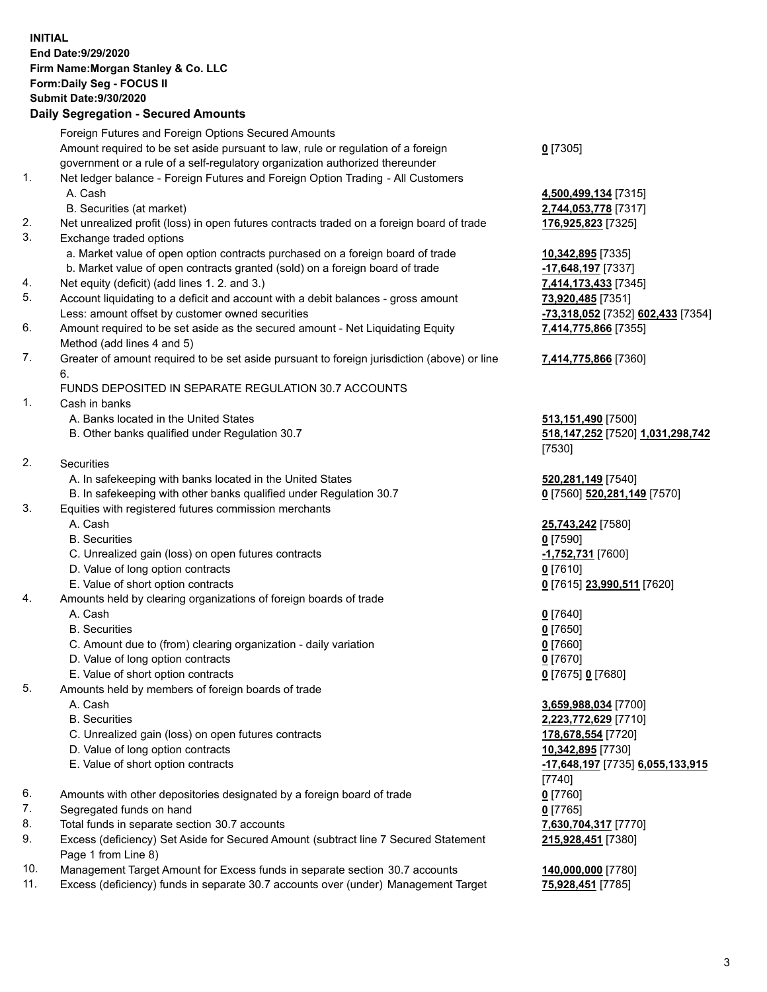## **INITIAL End Date:9/29/2020 Firm Name:Morgan Stanley & Co. LLC Form:Daily Seg - FOCUS II Submit Date:9/30/2020**

## **Daily Segregation - Secured Amounts**

|                | Foreign Futures and Foreign Options Secured Amounts                                         |                                   |
|----------------|---------------------------------------------------------------------------------------------|-----------------------------------|
|                | Amount required to be set aside pursuant to law, rule or regulation of a foreign            | $0$ [7305]                        |
|                | government or a rule of a self-regulatory organization authorized thereunder                |                                   |
| 1.             | Net ledger balance - Foreign Futures and Foreign Option Trading - All Customers             |                                   |
|                | A. Cash                                                                                     | 4,500,499,134 [7315]              |
|                | B. Securities (at market)                                                                   | 2,744,053,778 [7317]              |
| 2.             | Net unrealized profit (loss) in open futures contracts traded on a foreign board of trade   | 176,925,823 [7325]                |
| 3.             | Exchange traded options                                                                     |                                   |
|                | a. Market value of open option contracts purchased on a foreign board of trade              | 10,342,895 [7335]                 |
|                | b. Market value of open contracts granted (sold) on a foreign board of trade                | -17,648,197 [7337]                |
| 4.             | Net equity (deficit) (add lines 1.2. and 3.)                                                | 7,414,173,433 [7345]              |
| 5.             | Account liquidating to a deficit and account with a debit balances - gross amount           | 73,920,485 [7351]                 |
|                | Less: amount offset by customer owned securities                                            | -73,318,052 [7352] 602,433 [7354] |
| 6.             | Amount required to be set aside as the secured amount - Net Liquidating Equity              | 7,414,775,866 [7355]              |
|                | Method (add lines 4 and 5)                                                                  |                                   |
| 7.             | Greater of amount required to be set aside pursuant to foreign jurisdiction (above) or line |                                   |
|                | 6.                                                                                          | 7,414,775,866 [7360]              |
|                |                                                                                             |                                   |
| 1.             | FUNDS DEPOSITED IN SEPARATE REGULATION 30.7 ACCOUNTS<br>Cash in banks                       |                                   |
|                |                                                                                             |                                   |
|                | A. Banks located in the United States                                                       | 513,151,490 [7500]                |
|                | B. Other banks qualified under Regulation 30.7                                              | 518,147,252 [7520] 1,031,298,742  |
|                |                                                                                             | [7530]                            |
| 2.             | Securities                                                                                  |                                   |
|                | A. In safekeeping with banks located in the United States                                   | 520,281,149 [7540]                |
|                | B. In safekeeping with other banks qualified under Regulation 30.7                          | 0 [7560] 520,281,149 [7570]       |
| 3.             | Equities with registered futures commission merchants                                       |                                   |
|                | A. Cash                                                                                     | 25,743,242 [7580]                 |
|                | <b>B.</b> Securities                                                                        | $0$ [7590]                        |
|                | C. Unrealized gain (loss) on open futures contracts                                         | -1,752,731 [7600]                 |
|                | D. Value of long option contracts                                                           | $0$ [7610]                        |
|                | E. Value of short option contracts                                                          | 0 [7615] 23,990,511 [7620]        |
| 4.             | Amounts held by clearing organizations of foreign boards of trade                           |                                   |
|                | A. Cash                                                                                     | $0$ [7640]                        |
|                | <b>B.</b> Securities                                                                        | $0$ [7650]                        |
|                | C. Amount due to (from) clearing organization - daily variation                             | $0$ [7660]                        |
|                | D. Value of long option contracts                                                           | $0$ [7670]                        |
|                | E. Value of short option contracts                                                          | $0$ [7675] $0$ [7680]             |
| 5.             | Amounts held by members of foreign boards of trade                                          |                                   |
|                | A. Cash                                                                                     | 3,659,988,034 [7700]              |
|                | <b>B.</b> Securities                                                                        | 2,223,772,629 [7710]              |
|                | C. Unrealized gain (loss) on open futures contracts                                         | 178,678,554 [7720]                |
|                | D. Value of long option contracts                                                           | 10,342,895 [7730]                 |
|                | E. Value of short option contracts                                                          | -17,648,197 [7735] 6,055,133,915  |
|                |                                                                                             | [7740]                            |
| 6.             | Amounts with other depositories designated by a foreign board of trade                      | $0$ [7760]                        |
| 7.             | Segregated funds on hand                                                                    | $0$ [7765]                        |
| 8.             | Total funds in separate section 30.7 accounts                                               | 7,630,704,317 [7770]              |
| 9.             | Excess (deficiency) Set Aside for Secured Amount (subtract line 7 Secured Statement         | 215,928,451 [7380]                |
|                | Page 1 from Line 8)                                                                         |                                   |
| $\overline{A}$ |                                                                                             |                                   |

- 10. Management Target Amount for Excess funds in separate section 30.7 accounts **140,000,000** [7780]
- 11. Excess (deficiency) funds in separate 30.7 accounts over (under) Management Target **75,928,451** [7785]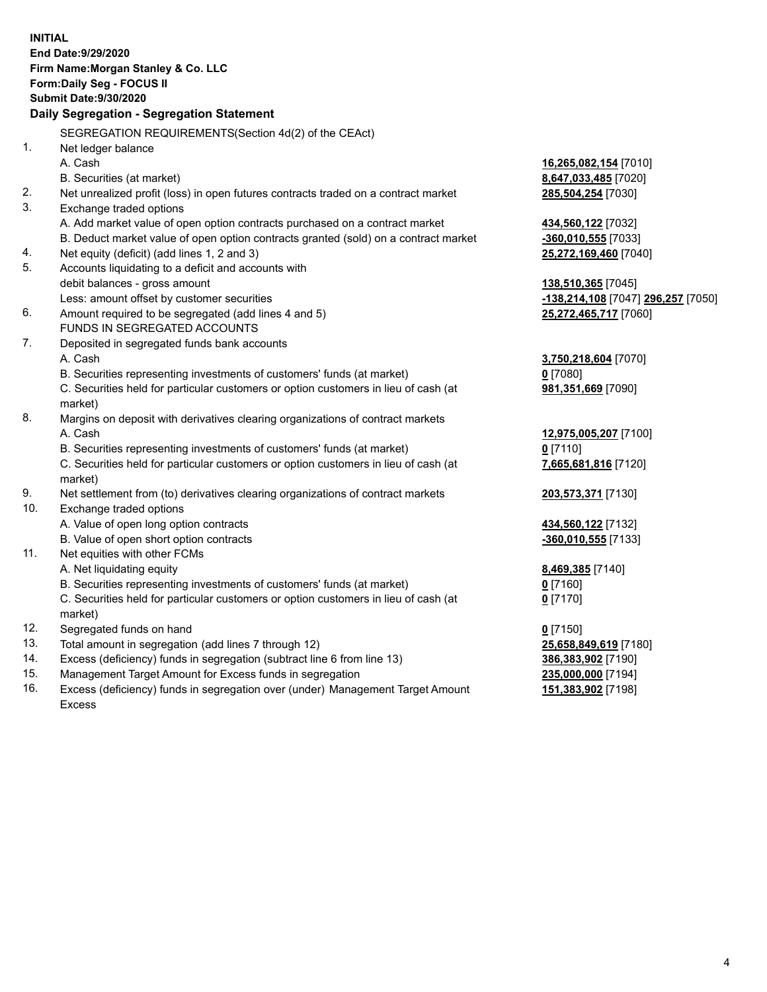| <b>INITIAL</b> |                                                                                     |                                    |
|----------------|-------------------------------------------------------------------------------------|------------------------------------|
|                | End Date: 9/29/2020                                                                 |                                    |
|                | Firm Name: Morgan Stanley & Co. LLC                                                 |                                    |
|                | Form: Daily Seg - FOCUS II                                                          |                                    |
|                | <b>Submit Date: 9/30/2020</b>                                                       |                                    |
|                | Daily Segregation - Segregation Statement                                           |                                    |
|                | SEGREGATION REQUIREMENTS(Section 4d(2) of the CEAct)                                |                                    |
| 1 <sub>1</sub> | Net ledger balance                                                                  |                                    |
|                | A. Cash                                                                             | 16,265,082,154 [7010]              |
|                | B. Securities (at market)                                                           | 8,647,033,485 [7020]               |
| 2.             | Net unrealized profit (loss) in open futures contracts traded on a contract market  | 285,504,254 [7030]                 |
| 3.             | Exchange traded options                                                             |                                    |
|                | A. Add market value of open option contracts purchased on a contract market         | 434,560,122 [7032]                 |
|                | B. Deduct market value of open option contracts granted (sold) on a contract market | -360,010,555 [7033]                |
| 4.             | Net equity (deficit) (add lines 1, 2 and 3)                                         | 25,272,169,460 [7040]              |
| 5.             | Accounts liquidating to a deficit and accounts with                                 |                                    |
|                | debit balances - gross amount                                                       | 138,510,365 [7045]                 |
|                | Less: amount offset by customer securities                                          | -138,214,108 [7047] 296,257 [7050] |
| 6.             | Amount required to be segregated (add lines 4 and 5)                                | 25,272,465,717 [7060]              |
|                | FUNDS IN SEGREGATED ACCOUNTS                                                        |                                    |
| 7.             | Deposited in segregated funds bank accounts                                         |                                    |
|                | A. Cash                                                                             | 3,750,218,604 [7070]               |
|                | B. Securities representing investments of customers' funds (at market)              | $0$ [7080]                         |
|                | C. Securities held for particular customers or option customers in lieu of cash (at | 981,351,669 [7090]                 |
|                | market)                                                                             |                                    |
| 8.             | Margins on deposit with derivatives clearing organizations of contract markets      |                                    |
|                | A. Cash                                                                             | 12,975,005,207 [7100]              |
|                | B. Securities representing investments of customers' funds (at market)              | $0$ [7110]                         |
|                | C. Securities held for particular customers or option customers in lieu of cash (at | 7,665,681,816 [7120]               |
|                | market)                                                                             |                                    |
| 9.             | Net settlement from (to) derivatives clearing organizations of contract markets     | 203,573,371 [7130]                 |
| 10.            | Exchange traded options                                                             |                                    |
|                | A. Value of open long option contracts                                              | 434,560,122 [7132]                 |
|                | B. Value of open short option contracts                                             | -360,010,555 [7133]                |
| 11.            | Net equities with other FCMs                                                        |                                    |
|                | A. Net liquidating equity                                                           | 8,469,385 [7140]                   |
|                | B. Securities representing investments of customers' funds (at market)              | $0$ [7160]                         |
|                | C. Securities held for particular customers or option customers in lieu of cash (at | $0$ [7170]                         |
|                | market)                                                                             |                                    |
| 12.            | Segregated funds on hand                                                            | $0$ [7150]                         |
| 13.            | Total amount in segregation (add lines 7 through 12)                                | 25,658,849,619 [7180]              |
| 14.            | Excess (deficiency) funds in segregation (subtract line 6 from line 13)             | 386,383,902 [7190]                 |
| 15.            | Management Target Amount for Excess funds in segregation                            | 235,000,000 [7194]                 |
| 16.            | Excess (deficiency) funds in segregation over (under) Management Target Amount      | 151,383,902 [7198]                 |

Excess